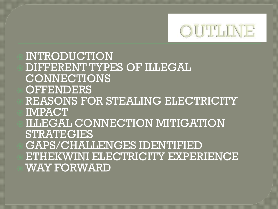

 INTRODUCTION DIFFERENT TYPES OF ILLEGAL CONNECTIONS **OFFENDERS**  REASONS FOR STEALING ELECTRICITY IMPACT ILLEGAL CONNECTION MITIGATION STRATEGIES GAPS/CHALLENGES IDENTIFIED ETHEKWINI ELECTRICITY EXPERIENCE WAY FORWARD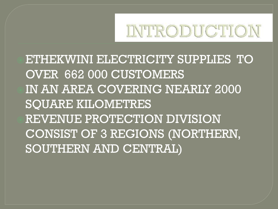

ETHEKWINI ELECTRICITY SUPPLIES TO OVER 662 000 CUSTOMERS IN AN AREA COVERING NEARLY 2000 SQUARE KILOMETRES REVENUE PROTECTION DIVISION CONSIST OF 3 REGIONS (NORTHERN, SOUTHERN AND CENTRAL)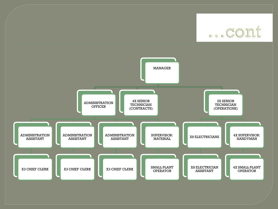... cont

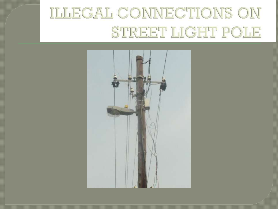#### ILLEGAL CONNECTIONS ON STREET LIGHT POLE

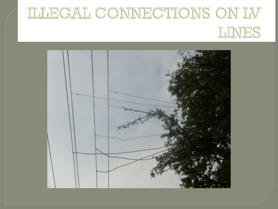## ILLEGAL CONNECTIONS ON LV LINES

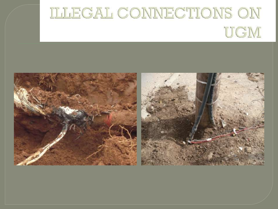# ILLEGAL CONNECTIONS ON UGM

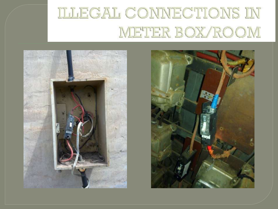### **ILLEGAL CONNECTIONS IN** METER BOX/ROOM



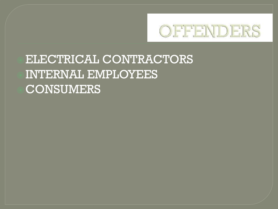

#### ELECTRICAL CONTRACTORS INTERNAL EMPLOYEES CONSUMERS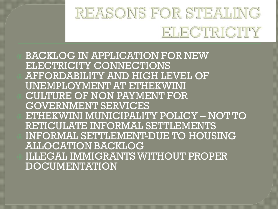#### REASONS FOR STEALING ELECTRICITY

 BACKLOG IN APPLICATION FOR NEW ELECTRICITY CONNECTIONS AFFORDABILITY AND HIGH LEVEL OF UNEMPLOYMENT AT ETHEKWINI CULTURE OF NON PAYMENT FOR GOVERNMENT SERVICES ETHEKWINI MUNICIPALITY POLICY – NOT TO RETICULATE INFORMAL SETTLEMENTS INFORMAL SETTLEMENT-DUE TO HOUSING ALLOCATION BACKLOG ILLEGAL IMMIGRANTS WITHOUT PROPER DOCUMENTATION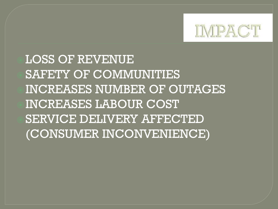

LOSS OF REVENUE SAFETY OF COMMUNITIES INCREASES NUMBER OF OUTAGES INCREASES LABOUR COST SERVICE DELIVERY AFFECTED (CONSUMER INCONVENIENCE)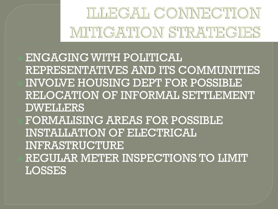## ILLEGAL CONNECTION MITIGATION STRATEGIES

 ENGAGING WITH POLITICAL REPRESENTATIVES AND ITS COMMUNITIES INVOLVE HOUSING DEPT FOR POSSIBLE RELOCATION OF INFORMAL SETTLEMENT DWELLERS FORMALISING AREAS FOR POSSIBLE INSTALLATION OF ELECTRICAL INFRASTRUCTURE REGULAR METER INSPECTIONS TO LIMIT LOSSES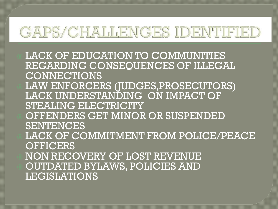#### GAPS/CHALLENGES IDENTIFIED

 LACK OF EDUCATION TO COMMUNITIES REGARDING CONSEOUENCES OF ILLEGAL CONNECTIONS LAW ENFORCERS (JUDGES,PROSECUTORS) LACK UNDERSTANDING ON IMPACT OF STEALING ELECTRICITY OFFENDERS GET MINOR OR SUSPENDED **SENTENCES**  LACK OF COMMITMENT FROM POLICE/PEACE **OFFICERS**  NON RECOVERY OF LOST REVENUE OUTDATED BYLAWS, POLICIES AND LEGISLATIONS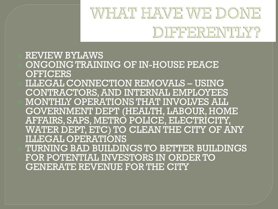## WHAT HAVE WE DONE DIFFERENTHY?

#### REVIEW BYLAWS ONGOING TRAINING OF IN-HOUSE PEACE **OFFICERS**  ILLEGAL CONNECTION REMOVALS – USING CONTRACTORS, AND INTERNAL EMPLOYEES MONTHLY OPERATIONS THAT INVOLVES ALL GOVERNMENT DEPT (HEALTH, LABOUR, HOME AFFAIRS, SAPS, METRO POLICE, ELECTRICITY, WATER DEPT, ETC) TO CLEAN THE CITY OF ANY ILLEGAL OPERATIONS TURNING BAD BUILDINGS TO BETTER BUILDINGS FOR POTENTIAL INVESTORS IN ORDER TO GENERATE REVENUE FOR THE CITY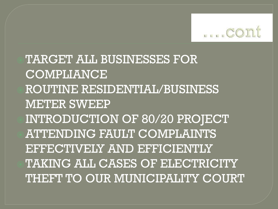

TARGET ALL BUSINESSES FOR COMPLIANCE ROUTINE RESIDENTIAL/BUSINESS METER SWEEP INTRODUCTION OF 80/20 PROJECT ATTENDING FAULT COMPLAINTS EFFECTIVELY AND EFFICIENTLY TAKING ALL CASES OF ELECTRICITY THEFT TO OUR MUNICIPALITY COURT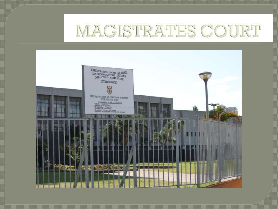#### MAGISTRATES COURT

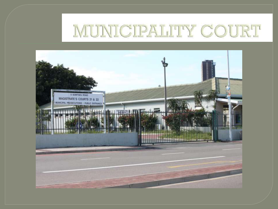#### MUNICIPALITY COURT

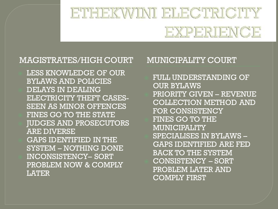#### ETHEKWINI ELECTRICITY EXPERIENCE

#### MAGISTRATES/HIGH COURT MUNICIPALITY COURT

 LESS KNOWLEDGE OF OUR BYLAWS AND POLICIES DELAYS IN DEALING ELECTRICITY THEFT CASES-SEEN AS MINOR OFFENCES FINES GO TO THE STATE JUDGES AND PROSECUTORS ARE DIVERSE GAPS IDENTIFIED IN THE SYSTEM – NOTHING DONE INCONSISTENCY– SORT PROBLEM NOW & COMPLY LATER

 FULL UNDERSTANDING OF OUR BYLAWS PRIORITY GIVEN – REVENUE COLLECTION METHOD AND FOR CONSISTENCY FINES GO TO THE MUNICIPALITY SPECIALISES IN BYLAWS – GAPS IDENTIFIED ARE FED BACK TO THE SYSTEM CONSISTENCY – SORT PROBLEM LATER AND COMPLY FIRST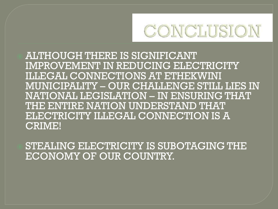

 ALTHOUGH THERE IS SIGNIFICANT IMPROVEMENT IN REDUCING ELECTRICITY ILLEGAL CONNECTIONS AT ETHEKWINI MUNICIPALITY – OUR CHALLENGE STILL LIES IN NATIONAL LEGISLATION – IN ENSURING THAT THE ENTIRE NATION UNDERSTAND THAT ELECTRICITY ILLEGAL CONNECTION IS A CRIME!

 STEALING ELECTRICITY IS SUBOTAGING THE ECONOMY OF OUR COUNTRY.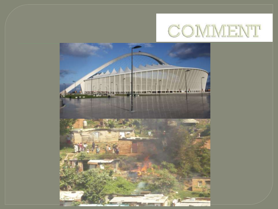